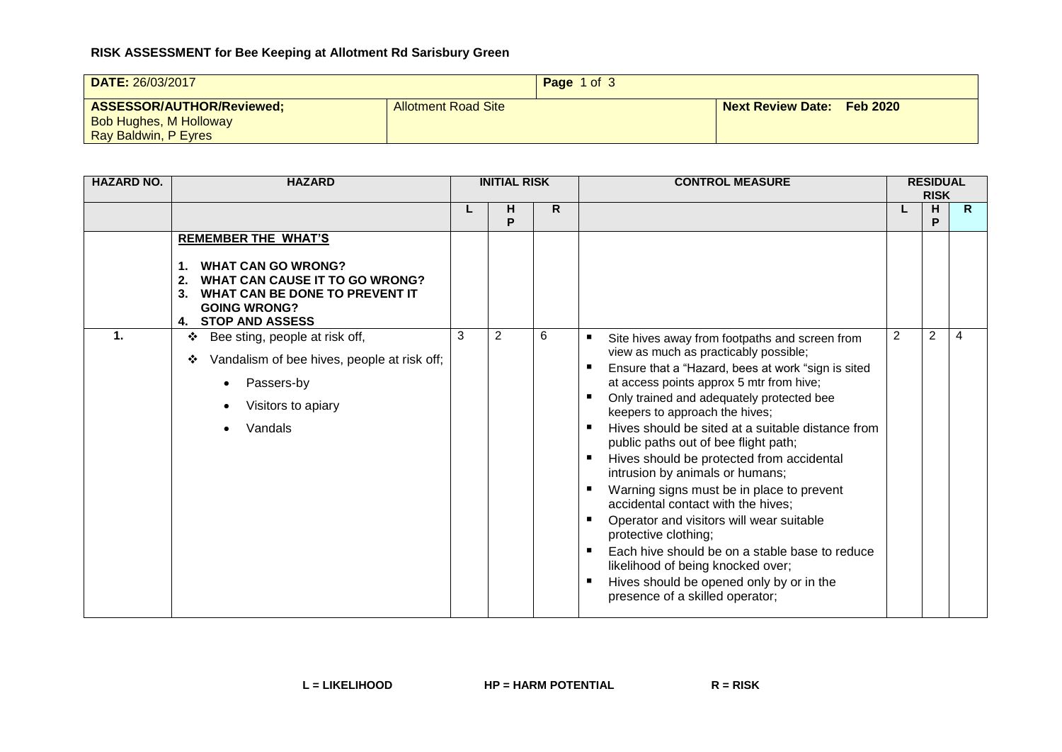## **RISK ASSESSMENT for Bee Keeping at Allotment Rd Sarisbury Green**

| DATE: 26/03/2017                                                                   |                     | Page 1 of 3 |                                   |  |  |
|------------------------------------------------------------------------------------|---------------------|-------------|-----------------------------------|--|--|
| ASSESSOR/AUTHOR/Reviewed;<br><b>Bob Hughes, M Holloway</b><br>Ray Baldwin, P Eyres | Allotment Road Site |             | <b>Next Review Date: Feb 2020</b> |  |  |

| <b>HAZARD NO.</b> | <b>HAZARD</b>                                                                                                                                                                                         | <b>INITIAL RISK</b> |                |   | <b>CONTROL MEASURE</b>                                                                                                                                                                                                                                                                                                                                                                                                                                                                                                                                                                                                                                                                                                                                                                  |   | <b>RESIDUAL</b><br><b>RISK</b> |                |  |
|-------------------|-------------------------------------------------------------------------------------------------------------------------------------------------------------------------------------------------------|---------------------|----------------|---|-----------------------------------------------------------------------------------------------------------------------------------------------------------------------------------------------------------------------------------------------------------------------------------------------------------------------------------------------------------------------------------------------------------------------------------------------------------------------------------------------------------------------------------------------------------------------------------------------------------------------------------------------------------------------------------------------------------------------------------------------------------------------------------------|---|--------------------------------|----------------|--|
|                   |                                                                                                                                                                                                       |                     | н<br>P         | R |                                                                                                                                                                                                                                                                                                                                                                                                                                                                                                                                                                                                                                                                                                                                                                                         |   | H<br>P                         | $\mathsf{R}$   |  |
| 1.                | <b>REMEMBER THE WHAT'S</b><br><b>WHAT CAN GO WRONG?</b><br><b>WHAT CAN CAUSE IT TO GO WRONG?</b><br>2.<br>WHAT CAN BE DONE TO PREVENT IT<br>3.<br><b>GOING WRONG?</b><br><b>STOP AND ASSESS</b><br>4. | 3                   | $\overline{2}$ | 6 |                                                                                                                                                                                                                                                                                                                                                                                                                                                                                                                                                                                                                                                                                                                                                                                         | 2 | 2                              | $\overline{4}$ |  |
|                   | Bee sting, people at risk off,<br>❖<br>Vandalism of bee hives, people at risk off;<br>❖<br>Passers-by<br>Visitors to apiary<br>Vandals                                                                |                     |                |   | Site hives away from footpaths and screen from<br>٠<br>view as much as practicably possible;<br>Ensure that a "Hazard, bees at work "sign is sited<br>at access points approx 5 mtr from hive;<br>Only trained and adequately protected bee<br>keepers to approach the hives;<br>Hives should be sited at a suitable distance from<br>public paths out of bee flight path;<br>Hives should be protected from accidental<br>intrusion by animals or humans;<br>Warning signs must be in place to prevent<br>accidental contact with the hives;<br>Operator and visitors will wear suitable<br>protective clothing;<br>Each hive should be on a stable base to reduce<br>likelihood of being knocked over;<br>Hives should be opened only by or in the<br>presence of a skilled operator; |   |                                |                |  |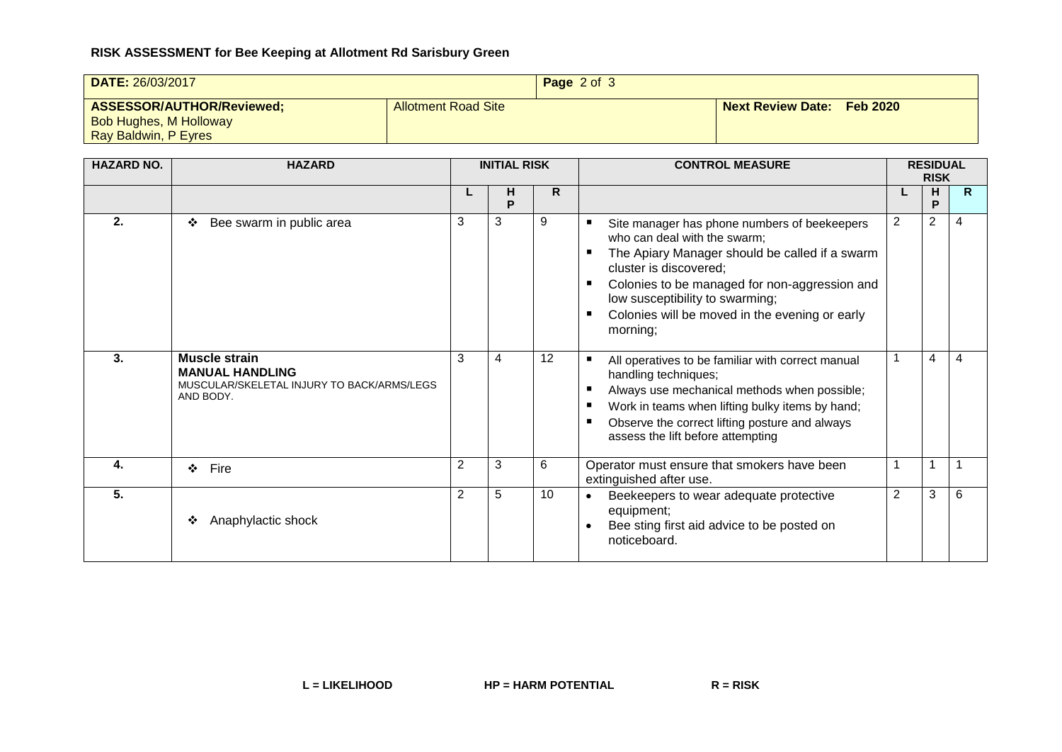## **RISK ASSESSMENT for Bee Keeping at Allotment Rd Sarisbury Green**

| DATE: 26/03/2017                                                                   | Page 2 of 3                |  |                            |  |
|------------------------------------------------------------------------------------|----------------------------|--|----------------------------|--|
| ASSESSOR/AUTHOR/Reviewed;<br><b>Bob Hughes, M Holloway</b><br>Ray Baldwin, P Eyres | <b>Allotment Road Site</b> |  | Next Review Date: Feb 2020 |  |

| <b>HAZARD NO.</b> | <b>HAZARD</b>                                                                                      |                | <b>INITIAL RISK</b> |                 | <b>CONTROL MEASURE</b>                                                                                                                                                                                                                                                                                          |   | <b>RESIDUAL</b><br><b>RISK</b> |              |  |
|-------------------|----------------------------------------------------------------------------------------------------|----------------|---------------------|-----------------|-----------------------------------------------------------------------------------------------------------------------------------------------------------------------------------------------------------------------------------------------------------------------------------------------------------------|---|--------------------------------|--------------|--|
|                   |                                                                                                    |                | н<br>P              | R.              |                                                                                                                                                                                                                                                                                                                 |   | н<br>P                         | $\mathsf{R}$ |  |
| 2.                | Bee swarm in public area<br>❖                                                                      | 3              | 3                   | 9               | Site manager has phone numbers of beekeepers<br>who can deal with the swarm;<br>The Apiary Manager should be called if a swarm<br>cluster is discovered;<br>Colonies to be managed for non-aggression and<br>п<br>low susceptibility to swarming;<br>Colonies will be moved in the evening or early<br>morning; | 2 | 2                              | 4            |  |
| 3.                | Muscle strain<br><b>MANUAL HANDLING</b><br>MUSCULAR/SKELETAL INJURY TO BACK/ARMS/LEGS<br>AND BODY. | 3              | 4                   | 12              | All operatives to be familiar with correct manual<br>handling techniques;<br>Always use mechanical methods when possible;<br>Work in teams when lifting bulky items by hand;<br>Observe the correct lifting posture and always<br>assess the lift before attempting                                             |   | 4                              | 4            |  |
| 4.                | Fire<br>$\bullet$                                                                                  | $\overline{2}$ | 3                   | 6               | Operator must ensure that smokers have been<br>extinguished after use.                                                                                                                                                                                                                                          |   |                                |              |  |
| 5.                | Anaphylactic shock<br>❖                                                                            | $\overline{2}$ | 5                   | 10 <sup>°</sup> | Beekeepers to wear adequate protective<br>equipment;<br>Bee sting first aid advice to be posted on<br>noticeboard.                                                                                                                                                                                              | 2 | 3                              | 6            |  |